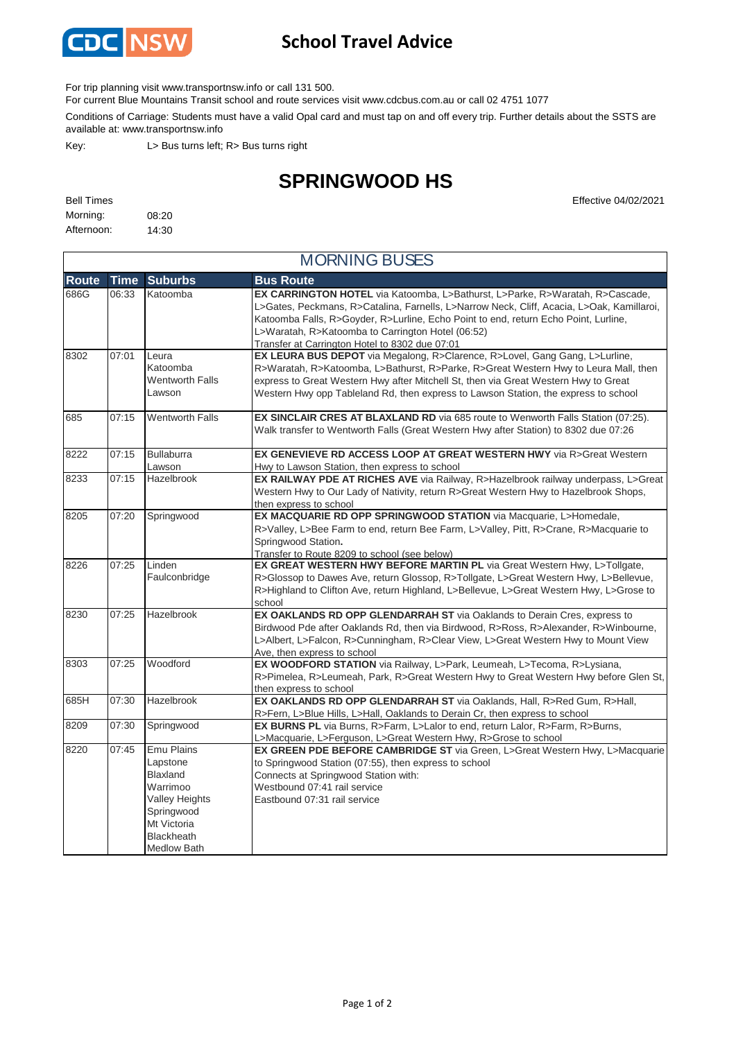

## **School Travel Advice**

For trip planning visit www.transportnsw.info or call 131 500.

For current Blue Mountains Transit school and route services visit www.cdcbus.com.au or call 02 4751 1077

Conditions of Carriage: Students must have a valid Opal card and must tap on and off every trip. Further details about the SSTS are available at: www.transportnsw.info

Key: L> Bus turns left; R> Bus turns right

## **SPRINGWOOD HS**

| <b>Bell Times</b> |       |  | Effective 04/02/2021 |
|-------------------|-------|--|----------------------|
| Morning:          | 08:20 |  |                      |
| Afternoon:        | 14:30 |  |                      |

|              | <b>MORNING BUSES</b> |                                                                                                                                                        |                                                                                                                                                                                                                                                                                                                                                                         |  |  |  |
|--------------|----------------------|--------------------------------------------------------------------------------------------------------------------------------------------------------|-------------------------------------------------------------------------------------------------------------------------------------------------------------------------------------------------------------------------------------------------------------------------------------------------------------------------------------------------------------------------|--|--|--|
| <b>Route</b> | <b>Time</b>          | <b>Suburbs</b>                                                                                                                                         | <b>Bus Route</b>                                                                                                                                                                                                                                                                                                                                                        |  |  |  |
| 686G         | 06:33                | Katoomba                                                                                                                                               | EX CARRINGTON HOTEL via Katoomba, L>Bathurst, L>Parke, R>Waratah, R>Cascade,<br>L>Gates, Peckmans, R>Catalina, Farnells, L>Narrow Neck, Cliff, Acacia, L>Oak, Kamillaroi,<br>Katoomba Falls, R>Goyder, R>Lurline, Echo Point to end, return Echo Point, Lurline,<br>L>Waratah, R>Katoomba to Carrington Hotel (06:52)<br>Transfer at Carrington Hotel to 8302 due 07:01 |  |  |  |
| 8302         | 07:01                | Leura<br>Katoomba<br><b>Wentworth Falls</b><br>Lawson                                                                                                  | EX LEURA BUS DEPOT via Megalong, R>Clarence, R>Lovel, Gang Gang, L>Lurline,<br>R>Waratah, R>Katoomba, L>Bathurst, R>Parke, R>Great Western Hwy to Leura Mall, then<br>express to Great Western Hwy after Mitchell St, then via Great Western Hwy to Great<br>Western Hwy opp Tableland Rd, then express to Lawson Station, the express to school                        |  |  |  |
| 685          | 07:15                | <b>Wentworth Falls</b>                                                                                                                                 | EX SINCLAIR CRES AT BLAXLAND RD via 685 route to Wenworth Falls Station (07:25).<br>Walk transfer to Wentworth Falls (Great Western Hwy after Station) to 8302 due 07:26                                                                                                                                                                                                |  |  |  |
| 8222         | 07:15                | <b>Bullaburra</b><br>Lawson                                                                                                                            | EX GENEVIEVE RD ACCESS LOOP AT GREAT WESTERN HWY via R>Great Western<br>Hwy to Lawson Station, then express to school                                                                                                                                                                                                                                                   |  |  |  |
| 8233         | 07:15                | <b>Hazelbrook</b>                                                                                                                                      | EX RAILWAY PDE AT RICHES AVE via Railway, R>Hazelbrook railway underpass, L>Great<br>Western Hwy to Our Lady of Nativity, return R>Great Western Hwy to Hazelbrook Shops,<br>then express to school                                                                                                                                                                     |  |  |  |
| 8205         | 07:20                | Springwood                                                                                                                                             | EX MACQUARIE RD OPP SPRINGWOOD STATION via Macquarie, L>Homedale,<br>R>Valley, L>Bee Farm to end, return Bee Farm, L>Valley, Pitt, R>Crane, R>Macquarie to<br>Springwood Station.<br>Transfer to Route 8209 to school (see below)                                                                                                                                       |  |  |  |
| 8226         | 07:25                | Linden<br>Faulconbridge                                                                                                                                | EX GREAT WESTERN HWY BEFORE MARTIN PL via Great Western Hwy, L>Tollgate,<br>R>Glossop to Dawes Ave, return Glossop, R>Tollgate, L>Great Western Hwy, L>Bellevue,<br>R>Highland to Clifton Ave, return Highland, L>Bellevue, L>Great Western Hwy, L>Grose to<br>school                                                                                                   |  |  |  |
| 8230         | 07:25                | Hazelbrook                                                                                                                                             | EX OAKLANDS RD OPP GLENDARRAH ST via Oaklands to Derain Cres, express to<br>Birdwood Pde after Oaklands Rd, then via Birdwood, R>Ross, R>Alexander, R>Winbourne,<br>L>Albert, L>Falcon, R>Cunningham, R>Clear View, L>Great Western Hwy to Mount View<br>Ave, then express to school                                                                                    |  |  |  |
| 8303         | 07:25                | Woodford                                                                                                                                               | EX WOODFORD STATION via Railway, L>Park, Leumeah, L>Tecoma, R>Lysiana,<br>R>Pimelea, R>Leumeah, Park, R>Great Western Hwy to Great Western Hwy before Glen St,<br>then express to school                                                                                                                                                                                |  |  |  |
| 685H         | 07:30                | Hazelbrook                                                                                                                                             | EX OAKLANDS RD OPP GLENDARRAH ST via Oaklands, Hall, R>Red Gum, R>Hall,<br>R>Fern, L>Blue Hills, L>Hall, Oaklands to Derain Cr, then express to school                                                                                                                                                                                                                  |  |  |  |
| 8209         | 07:30                | Springwood                                                                                                                                             | EX BURNS PL via Burns, R>Farm, L>Lalor to end, return Lalor, R>Farm, R>Burns,<br>L>Macquarie, L>Ferguson, L>Great Western Hwy, R>Grose to school                                                                                                                                                                                                                        |  |  |  |
| 8220         | 07:45                | Emu Plains<br>Lapstone<br><b>Blaxland</b><br>Warrimoo<br><b>Valley Heights</b><br>Springwood<br>Mt Victoria<br><b>Blackheath</b><br><b>Medlow Bath</b> | EX GREEN PDE BEFORE CAMBRIDGE ST via Green, L>Great Western Hwy, L>Macquarie<br>to Springwood Station (07:55), then express to school<br>Connects at Springwood Station with:<br>Westbound 07:41 rail service<br>Eastbound 07:31 rail service                                                                                                                           |  |  |  |